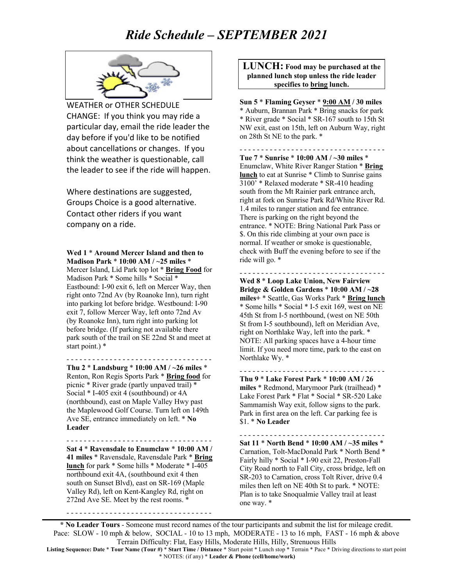## *Ride Schedule – SEPTEMBER 2021*



WEATHER or OTHER SCHEDULE CHANGE: If you think you may ride a particular day, email the ride leader the day before if you'd like to be notified about cancellations or changes. If you think the weather is questionable, call the leader to see if the ride will happen.

Where destinations are suggested, Groups Choice is a good alternative. Contact other riders if you want company on a ride.

#### **Wed 1** \* **Around Mercer Island and then to Madison Park** \* **10:00 AM / ~25 miles** \*

Mercer Island, Lid Park top lot \* **Bring Food** for Madison Park \* Some hills \* Social \* Eastbound: I-90 exit 6, left on Mercer Way, then right onto 72nd Av (by Roanoke Inn), turn right into parking lot before bridge. Westbound: I-90 exit 7, follow Mercer Way, left onto 72nd Av (by Roanoke Inn), turn right into parking lot before bridge. (If parking not available there park south of the trail on SE 22nd St and meet at start point.) \*

- - - - - - - - - - - - - - - - - - - - - - - - - - - - - - - - - -

**Thu 2** \* **Landsburg** \* **10:00 AM / ~26 miles** \* Renton, Ron Regis Sports Park \* **Bring food** for picnic \* River grade (partly unpaved trail) \* Social \* I-405 exit 4 (southbound) or 4A (northbound), east on Maple Valley Hwy past the Maplewood Golf Course. Turn left on 149th Ave SE, entrance immediately on left. \* **No Leader**

- - - - - - - - - - - - - - - - - - - - - - - - - - - - - - - - - -

**Sat 4** \* **Ravensdale to Enumclaw** \* **10:00 AM / 41 miles** \* Ravensdale, Ravensdale Park \* **Bring lunch** for park \* Some hills \* Moderate \* I-405 northbound exit 4A, (southbound exit 4 then south on Sunset Blvd), east on SR-169 (Maple Valley Rd), left on Kent-Kangley Rd, right on 272nd Ave SE. Meet by the rest rooms. \*

- - - - - - - - - - - - - - - - - - - - - - - - - - - - - - - - - -

**LUNCH: Food may be purchased at the planned lunch stop unless the ride leader specifies to bring lunch.**

**Sun 5** \* **Flaming Geyser** \* **9:00 AM / 30 miles** \* Auburn, Brannan Park \* Bring snacks for park \* River grade \* Social \* SR-167 south to 15th St NW exit, east on 15th, left on Auburn Way, right on 28th St NE to the park. \*

- - - - - - - - - - - - - - - - - - - - - - - - - - - - - - - - - -

**Tue 7** \* **Sunrise** \* **10:00 AM / ~30 miles** \* Enumclaw, White River Ranger Station \* **Bring lunch** to eat at Sunrise \* Climb to Sunrise gains 3100' \* Relaxed moderate \* SR-410 heading south from the Mt Rainier park entrance arch, right at fork on Sunrise Park Rd/White River Rd. 1.4 miles to ranger station and fee entrance. There is parking on the right beyond the entrance. \* NOTE: Bring National Park Pass or \$. On this ride climbing at your own pace is normal. If weather or smoke is questionable, check with Buff the evening before to see if the ride will go. \*

- - - - - - - - - - - - - - - - - - - - - - - - - - - - - - - - - -

**Wed 8** \* **Loop Lake Union, New Fairview Bridge & Golden Gardens** \* **10:00 AM / ~28 miles+** \* Seattle, Gas Works Park \* **Bring lunch** \* Some hills \* Social \* I-5 exit 169, west on NE 45th St from I-5 northbound, (west on NE 50th St from I-5 southbound), left on Meridian Ave, right on Northlake Way, left into the park. \* NOTE: All parking spaces have a 4-hour time limit. If you need more time, park to the east on Northlake Wy. \*

- - - - - - - - - - - - - - - - - - - - - - - - - - - - - - - - - -

**Thu 9** \* **Lake Forest Park** \* **10:00 AM / 26 miles** \* Redmond, Marymoor Park (trailhead) \* Lake Forest Park \* Flat \* Social \* SR-520 Lake Sammamish Way exit, follow signs to the park. Park in first area on the left. Car parking fee is \$1. \* **No Leader**

- - - - - - - - - - - - - - - - - - - - - - - - - - - - - - - - - -

**Sat 11** \* **North Bend** \* **10:00 AM / ~35 miles** \* Carnation, Tolt-MacDonald Park \* North Bend \* Fairly hilly \* Social \* I-90 exit 22, Preston-Fall City Road north to Fall City, cross bridge, left on SR-203 to Carnation, cross Tolt River, drive 0.4 miles then left on NE 40th St to park. \* NOTE: Plan is to take Snoqualmie Valley trail at least one way. \*

**\* No Leader Tours** - Someone must record names of the tour participants and submit the list for mileage credit. Pace: SLOW - 10 mph & below, SOCIAL - 10 to 13 mph, MODERATE - 13 to 16 mph, FAST - 16 mph & above Terrain Difficulty: Flat, Easy Hills, Moderate Hills, Hilly, Strenuous Hills

**Listing Sequence: Date** \* **Tour Name (Tour #)** \* **Start Time / Distance** \* Start point \* Lunch stop \* Terrain \* Pace \* Driving directions to start point \* NOTES: (if any) \* **Leader & Phone (cell/home/work)**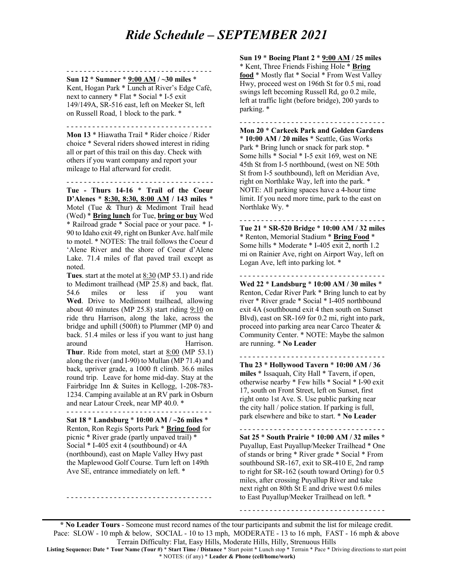### *Ride Schedule – SEPTEMBER 2021*

### - - - - - - - - - - - - - - - - - - - - - - - - - - - - - - - - - -

**Sun 12** \* **Sumner** \* **9:00 AM / ~30 miles** \* Kent, Hogan Park \* Lunch at River's Edge Café, next to cannery \* Flat \* Social \* I-5 exit 149/149A, SR-516 east, left on Meeker St, left on Russell Road, 1 block to the park. \*

- - - - - - - - - - - - - - - - - - - - - - - - - - - - - - - - - -

**Mon 13** \* Hiawatha Trail \* Rider choice / Rider choice \* Several riders showed interest in riding all or part of this trail on this day. Check with others if you want company and report your mileage to Hal afterward for credit.

- - - - - - - - - - - - - - - - - - - - - - - - - - - - - - - - - -

**Tue - Thurs 14-16** \* **Trail of the Coeur D'Alenes** \* **8:30, 8:30, 8:00 AM / 143 miles** \* Motel (Tue & Thur) & Medimont Trail head (Wed) \* **Bring lunch** for Tue, **bring or buy** Wed \* Railroad grade \* Social pace or your pace. \* I-90 to Idaho exit 49, right on Bunker Ave. half mile to motel. \* NOTES: The trail follows the Coeur d 'Alene River and the shore of Coeur d'Alene Lake. 71.4 miles of flat paved trail except as noted.

**Tues**. start at the motel at 8:30 (MP 53.1) and ride to Medimont trailhead (MP 25.8) and back, flat. 54.6 miles or less if you want **Wed**. Drive to Medimont trailhead, allowing about 40 minutes (MP 25.8) start riding  $9:10$  on ride thru Harrison, along the lake, across the bridge and uphill (500ft) to Plummer (MP 0) and back. 51.4 miles or less if you want to just hang around Harrison.

**Thur**. Ride from motel, start at 8:00 (MP 53.1) along the river (and I-90) to Mullan (MP 71.4) and back, upriver grade, a 1000 ft climb. 36.6 miles round trip. Leave for home mid-day. Stay at the Fairbridge Inn & Suites in Kellogg, 1-208-783- 1234. Camping available at an RV park in Osburn and near Latour Creek, near MP 40.0. \*

- - - - - - - - - - - - - - - - - - - - - - - - - - - - - - - - - - **Sat 18** \* **Landsburg** \* **10:00 AM / ~26 miles** \* Renton, Ron Regis Sports Park \* **Bring food** for picnic \* River grade (partly unpaved trail) \* Social \* I-405 exit 4 (southbound) or 4A (northbound), east on Maple Valley Hwy past the Maplewood Golf Course. Turn left on 149th Ave SE, entrance immediately on left. \*

- - - - - - - - - - - - - - - - - - - - - - - - - - - - - - - - - -

**Sun 19** \* **Boeing Plant 2** \* **9:00 AM / 25 miles** \* Kent, Three Friends Fishing Hole \* **Bring food** \* Mostly flat \* Social \* From West Valley Hwy, proceed west on 196th St for 0.5 mi, road swings left becoming Russell Rd, go 0.2 mile, left at traffic light (before bridge), 200 yards to parking. \*

- - - - - - - - - - - - - - - - - - - - - - - - - - - - - - - - - - **Mon 20** \* **Carkeek Park and Golden Gardens** \* **10:00 AM / 20 miles** \* Seattle, Gas Works Park \* Bring lunch or snack for park stop. \* Some hills \* Social \* I-5 exit 169, west on NE 45th St from I-5 northbound, (west on NE 50th St from I-5 southbound), left on Meridian Ave, right on Northlake Way, left into the park. \* NOTE: All parking spaces have a 4-hour time limit. If you need more time, park to the east on Northlake Wy. \*

- - - - - - - - - - - - - - - - - - - - - - - - - - - - - - - - - - **Tue 21** \* **SR-520 Bridge** \* **10:00 AM / 32 miles** \* Renton, Memorial Stadium \* **Bring Food** \* Some hills \* Moderate \* I-405 exit 2, north 1.2 mi on Rainier Ave, right on Airport Way, left on Logan Ave, left into parking lot. \*

- - - - - - - - - - - - - - - - - - - - - - - - - - - - - - - - - -

**Wed 22** \* **Landsburg** \* **10:00 AM / 30 miles** \* Renton, Cedar River Park \* Bring lunch to eat by river \* River grade \* Social \* I-405 northbound exit 4A (southbound exit 4 then south on Sunset Blvd), east on SR-169 for 0.2 mi, right into park, proceed into parking area near Carco Theater & Community Center. \* NOTE: Maybe the salmon are running. \* **No Leader**

- - - - - - - - - - - - - - - - - - - - - - - - - - - - - - - - - -

**Thu 23** \* **Hollywood Tavern** \* **10:00 AM / 36 miles** \* Issaquah, City Hall \* Tavern, if open, otherwise nearby \* Few hills \* Social \* I-90 exit 17, south on Front Street, left on Sunset, first right onto 1st Ave. S. Use public parking near the city hall / police station. If parking is full, park elsewhere and bike to start. \* **No Leader**

- - - - - - - - - - - - - - - - - - - - - - - - - - - - - - - - - - **Sat 25** \* **South Prairie** \* **10:00 AM / 32 miles \***  Puyallup, East Puyallup/Meeker Trailhead \* One of stands or bring \* River grade \* Social \* From southbound SR-167, exit to SR-410 E, 2nd ramp to right for SR-162 (south toward Orting) for 0.5 miles, after crossing Puyallup River and take next right on 80th St E and drive west 0.6 miles to East Puyallup/Meeker Trailhead on left. \*

- - - - - - - - - - - - - - - - - - - - - - - - - - - - - - - - - -

**\* No Leader Tours** - Someone must record names of the tour participants and submit the list for mileage credit. Pace: SLOW - 10 mph & below, SOCIAL - 10 to 13 mph, MODERATE - 13 to 16 mph, FAST - 16 mph & above Terrain Difficulty: Flat, Easy Hills, Moderate Hills, Hilly, Strenuous Hills

**Listing Sequence: Date** \* **Tour Name (Tour #)** \* **Start Time / Distance** \* Start point \* Lunch stop \* Terrain \* Pace \* Driving directions to start point \* NOTES: (if any) \* **Leader & Phone (cell/home/work)**